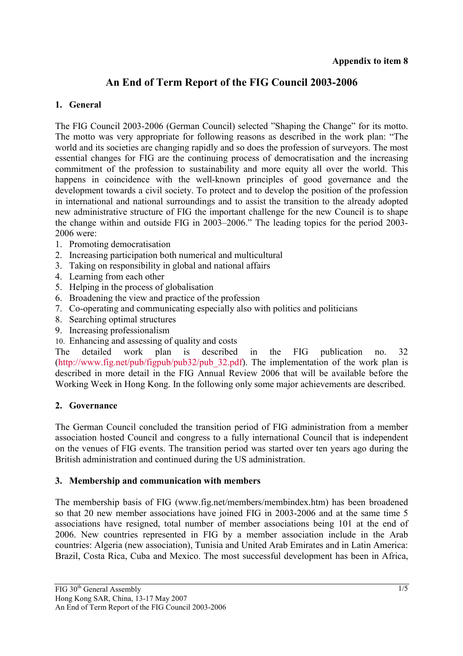# **An End of Term Report of the FIG Council 2003-2006**

# **1. General**

The FIG Council 2003-2006 (German Council) selected "Shaping the Change" for its motto. The motto was very appropriate for following reasons as described in the work plan: "The world and its societies are changing rapidly and so does the profession of surveyors. The most essential changes for FIG are the continuing process of democratisation and the increasing commitment of the profession to sustainability and more equity all over the world. This happens in coincidence with the well-known principles of good governance and the development towards a civil society. To protect and to develop the position of the profession in international and national surroundings and to assist the transition to the already adopted new administrative structure of FIG the important challenge for the new Council is to shape the change within and outside FIG in 2003–2006." The leading topics for the period 2003- 2006 were:

- 1. Promoting democratisation
- 2. Increasing participation both numerical and multicultural
- 3. Taking on responsibility in global and national affairs
- 4. Learning from each other
- 5. Helping in the process of globalisation
- 6. Broadening the view and practice of the profession
- 7. Co-operating and communicating especially also with politics and politicians
- 8. Searching optimal structures
- 9. Increasing professionalism
- 10. Enhancing and assessing of quality and costs

The detailed work plan is described in the FIG publication no. 32 (http://www.fig.net/pub/figpub/pub32/pub\_32.pdf). The implementation of the work plan is described in more detail in the FIG Annual Review 2006 that will be available before the Working Week in Hong Kong. In the following only some major achievements are described.

### **2. Governance**

The German Council concluded the transition period of FIG administration from a member association hosted Council and congress to a fully international Council that is independent on the venues of FIG events. The transition period was started over ten years ago during the British administration and continued during the US administration.

### **3. Membership and communication with members**

The membership basis of FIG (www.fig.net/members/membindex.htm) has been broadened so that 20 new member associations have joined FIG in 2003-2006 and at the same time 5 associations have resigned, total number of member associations being 101 at the end of 2006. New countries represented in FIG by a member association include in the Arab countries: Algeria (new association), Tunisia and United Arab Emirates and in Latin America: Brazil, Costa Rica, Cuba and Mexico. The most successful development has been in Africa,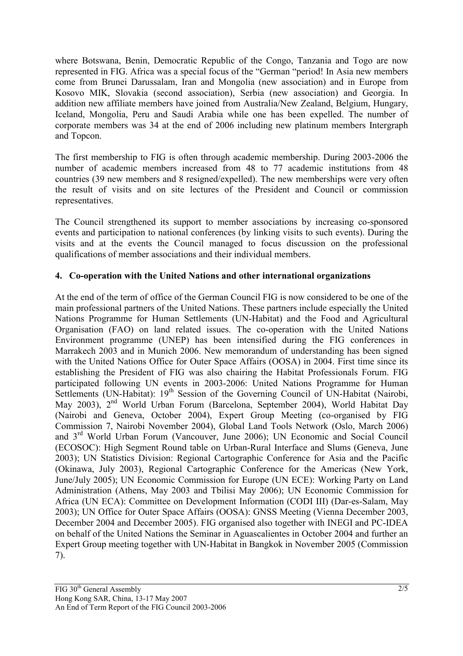where Botswana, Benin, Democratic Republic of the Congo, Tanzania and Togo are now represented in FIG. Africa was a special focus of the "German "period! In Asia new members come from Brunei Darussalam, Iran and Mongolia (new association) and in Europe from Kosovo MIK, Slovakia (second association), Serbia (new association) and Georgia. In addition new affiliate members have joined from Australia/New Zealand, Belgium, Hungary, Iceland, Mongolia, Peru and Saudi Arabia while one has been expelled. The number of corporate members was 34 at the end of 2006 including new platinum members Intergraph and Topcon.

The first membership to FIG is often through academic membership. During 2003-2006 the number of academic members increased from 48 to 77 academic institutions from 48 countries (39 new members and 8 resigned/expelled). The new memberships were very often the result of visits and on site lectures of the President and Council or commission representatives.

The Council strengthened its support to member associations by increasing co-sponsored events and participation to national conferences (by linking visits to such events). During the visits and at the events the Council managed to focus discussion on the professional qualifications of member associations and their individual members.

### **4. Co-operation with the United Nations and other international organizations**

At the end of the term of office of the German Council FIG is now considered to be one of the main professional partners of the United Nations. These partners include especially the United Nations Programme for Human Settlements (UN-Habitat) and the Food and Agricultural Organisation (FAO) on land related issues. The co-operation with the United Nations Environment programme (UNEP) has been intensified during the FIG conferences in Marrakech 2003 and in Munich 2006. New memorandum of understanding has been signed with the United Nations Office for Outer Space Affairs (OOSA) in 2004. First time since its establishing the President of FIG was also chairing the Habitat Professionals Forum. FIG participated following UN events in 2003-2006: United Nations Programme for Human Settlements (UN-Habitat):  $19<sup>th</sup>$  Session of the Governing Council of UN-Habitat (Nairobi, May 2003), 2nd World Urban Forum (Barcelona, September 2004), World Habitat Day (Nairobi and Geneva, October 2004), Expert Group Meeting (co-organised by FIG Commission 7, Nairobi November 2004), Global Land Tools Network (Oslo, March 2006) and 3rd World Urban Forum (Vancouver, June 2006); UN Economic and Social Council (ECOSOC): High Segment Round table on Urban-Rural Interface and Slums (Geneva, June 2003); UN Statistics Division: Regional Cartographic Conference for Asia and the Pacific (Okinawa, July 2003), Regional Cartographic Conference for the Americas (New York, June/July 2005); UN Economic Commission for Europe (UN ECE): Working Party on Land Administration (Athens, May 2003 and Tbilisi May 2006); UN Economic Commission for Africa (UN ECA): Committee on Development Information (CODI III) (Dar-es-Salam, May 2003); UN Office for Outer Space Affairs (OOSA): GNSS Meeting (Vienna December 2003, December 2004 and December 2005). FIG organised also together with INEGI and PC-IDEA on behalf of the United Nations the Seminar in Aguascalientes in October 2004 and further an Expert Group meeting together with UN-Habitat in Bangkok in November 2005 (Commission 7).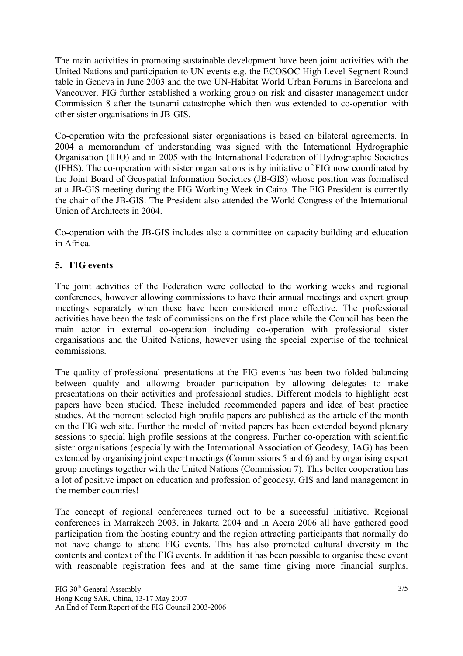The main activities in promoting sustainable development have been joint activities with the United Nations and participation to UN events e.g. the ECOSOC High Level Segment Round table in Geneva in June 2003 and the two UN-Habitat World Urban Forums in Barcelona and Vancouver. FIG further established a working group on risk and disaster management under Commission 8 after the tsunami catastrophe which then was extended to co-operation with other sister organisations in JB-GIS.

Co-operation with the professional sister organisations is based on bilateral agreements. In 2004 a memorandum of understanding was signed with the International Hydrographic Organisation (IHO) and in 2005 with the International Federation of Hydrographic Societies (IFHS). The co-operation with sister organisations is by initiative of FIG now coordinated by the Joint Board of Geospatial Information Societies (JB-GIS) whose position was formalised at a JB-GIS meeting during the FIG Working Week in Cairo. The FIG President is currently the chair of the JB-GIS. The President also attended the World Congress of the International Union of Architects in 2004.

Co-operation with the JB-GIS includes also a committee on capacity building and education in Africa.

# **5. FIG events**

The joint activities of the Federation were collected to the working weeks and regional conferences, however allowing commissions to have their annual meetings and expert group meetings separately when these have been considered more effective. The professional activities have been the task of commissions on the first place while the Council has been the main actor in external co-operation including co-operation with professional sister organisations and the United Nations, however using the special expertise of the technical commissions.

The quality of professional presentations at the FIG events has been two folded balancing between quality and allowing broader participation by allowing delegates to make presentations on their activities and professional studies. Different models to highlight best papers have been studied. These included recommended papers and idea of best practice studies. At the moment selected high profile papers are published as the article of the month on the FIG web site. Further the model of invited papers has been extended beyond plenary sessions to special high profile sessions at the congress. Further co-operation with scientific sister organisations (especially with the International Association of Geodesy, IAG) has been extended by organising joint expert meetings (Commissions 5 and 6) and by organising expert group meetings together with the United Nations (Commission 7). This better cooperation has a lot of positive impact on education and profession of geodesy, GIS and land management in the member countries!

The concept of regional conferences turned out to be a successful initiative. Regional conferences in Marrakech 2003, in Jakarta 2004 and in Accra 2006 all have gathered good participation from the hosting country and the region attracting participants that normally do not have change to attend FIG events. This has also promoted cultural diversity in the contents and context of the FIG events. In addition it has been possible to organise these event with reasonable registration fees and at the same time giving more financial surplus.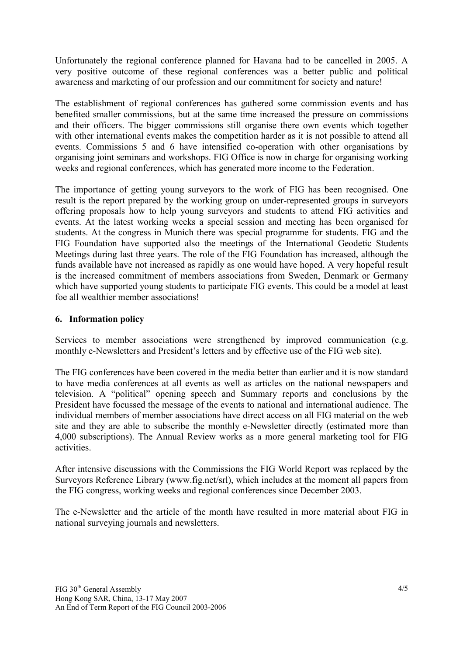Unfortunately the regional conference planned for Havana had to be cancelled in 2005. A very positive outcome of these regional conferences was a better public and political awareness and marketing of our profession and our commitment for society and nature!

The establishment of regional conferences has gathered some commission events and has benefited smaller commissions, but at the same time increased the pressure on commissions and their officers. The bigger commissions still organise there own events which together with other international events makes the competition harder as it is not possible to attend all events. Commissions 5 and 6 have intensified co-operation with other organisations by organising joint seminars and workshops. FIG Office is now in charge for organising working weeks and regional conferences, which has generated more income to the Federation.

The importance of getting young surveyors to the work of FIG has been recognised. One result is the report prepared by the working group on under-represented groups in surveyors offering proposals how to help young surveyors and students to attend FIG activities and events. At the latest working weeks a special session and meeting has been organised for students. At the congress in Munich there was special programme for students. FIG and the FIG Foundation have supported also the meetings of the International Geodetic Students Meetings during last three years. The role of the FIG Foundation has increased, although the funds available have not increased as rapidly as one would have hoped. A very hopeful result is the increased commitment of members associations from Sweden, Denmark or Germany which have supported young students to participate FIG events. This could be a model at least foe all wealthier member associations!

### **6. Information policy**

Services to member associations were strengthened by improved communication (e.g. monthly e-Newsletters and President's letters and by effective use of the FIG web site).

The FIG conferences have been covered in the media better than earlier and it is now standard to have media conferences at all events as well as articles on the national newspapers and television. A "political" opening speech and Summary reports and conclusions by the President have focussed the message of the events to national and international audience. The individual members of member associations have direct access on all FIG material on the web site and they are able to subscribe the monthly e-Newsletter directly (estimated more than 4,000 subscriptions). The Annual Review works as a more general marketing tool for FIG activities.

After intensive discussions with the Commissions the FIG World Report was replaced by the Surveyors Reference Library (www.fig.net/srl), which includes at the moment all papers from the FIG congress, working weeks and regional conferences since December 2003.

The e-Newsletter and the article of the month have resulted in more material about FIG in national surveying journals and newsletters.